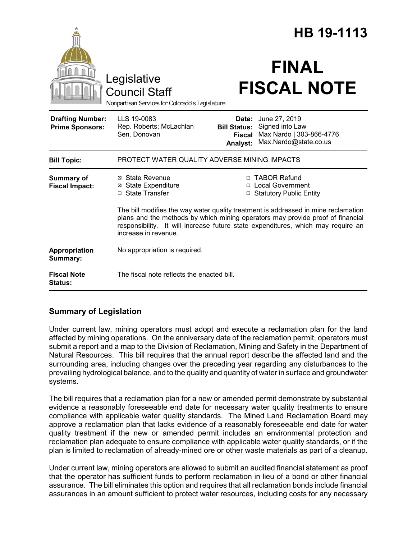|                                                   |                                                                                                                                                                                            |                                                           | HB 19-1113                                                                                                                                                   |  |
|---------------------------------------------------|--------------------------------------------------------------------------------------------------------------------------------------------------------------------------------------------|-----------------------------------------------------------|--------------------------------------------------------------------------------------------------------------------------------------------------------------|--|
|                                                   | Legislative<br><b>Council Staff</b><br>Nonpartisan Services for Colorado's Legislature                                                                                                     |                                                           | <b>FINAL</b><br><b>FISCAL NOTE</b>                                                                                                                           |  |
| <b>Drafting Number:</b><br><b>Prime Sponsors:</b> | LLS 19-0083<br>Rep. Roberts; McLachlan<br>Sen. Donovan                                                                                                                                     | Date:<br><b>Bill Status:</b><br><b>Fiscal</b><br>Analyst: | June 27, 2019<br>Signed into Law<br>Max Nardo   303-866-4776<br>Max.Nardo@state.co.us                                                                        |  |
| <b>Bill Topic:</b>                                | PROTECT WATER QUALITY ADVERSE MINING IMPACTS                                                                                                                                               |                                                           |                                                                                                                                                              |  |
| <b>Summary of</b><br><b>Fiscal Impact:</b>        | ⊠ State Revenue<br><b>State Expenditure</b><br>⊠<br>□ State Transfer                                                                                                                       | $\Box$                                                    | □ TABOR Refund<br>□ Local Government<br><b>Statutory Public Entity</b><br>The bill modifies the way water quality treatment is addressed in mine reclamation |  |
|                                                   | plans and the methods by which mining operators may provide proof of financial<br>responsibility. It will increase future state expenditures, which may require an<br>increase in revenue. |                                                           |                                                                                                                                                              |  |
| Appropriation<br>Summary:                         | No appropriation is required.                                                                                                                                                              |                                                           |                                                                                                                                                              |  |
| <b>Fiscal Note</b><br><b>Status:</b>              | The fiscal note reflects the enacted bill.                                                                                                                                                 |                                                           |                                                                                                                                                              |  |

# **Summary of Legislation**

Under current law, mining operators must adopt and execute a reclamation plan for the land affected by mining operations. On the anniversary date of the reclamation permit, operators must submit a report and a map to the Division of Reclamation, Mining and Safety in the Department of Natural Resources. This bill requires that the annual report describe the affected land and the surrounding area, including changes over the preceding year regarding any disturbances to the prevailing hydrological balance, and to the quality and quantity of water in surface and groundwater systems.

The bill requires that a reclamation plan for a new or amended permit demonstrate by substantial evidence a reasonably foreseeable end date for necessary water quality treatments to ensure compliance with applicable water quality standards. The Mined Land Reclamation Board may approve a reclamation plan that lacks evidence of a reasonably foreseeable end date for water quality treatment if the new or amended permit includes an environmental protection and reclamation plan adequate to ensure compliance with applicable water quality standards, or if the plan is limited to reclamation of already-mined ore or other waste materials as part of a cleanup.

Under current law, mining operators are allowed to submit an audited financial statement as proof that the operator has sufficient funds to perform reclamation in lieu of a bond or other financial assurance. The bill eliminates this option and requires that all reclamation bonds include financial assurances in an amount sufficient to protect water resources, including costs for any necessary